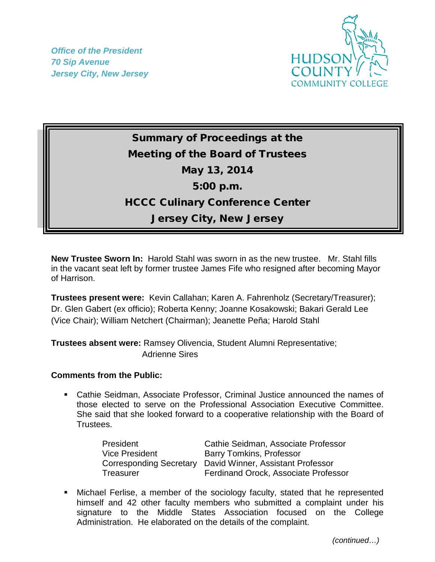*Office of the President 70 Sip Avenue Jersey City, New Jersey*



## Summary of Proceedings at the Meeting of the Board of Trustees May 13, 2014 5:00 p.m. HCCC Culinary Conference Center Jersey City, New Jersey

**New Trustee Sworn In:** Harold Stahl was sworn in as the new trustee. Mr. Stahl fills in the vacant seat left by former trustee James Fife who resigned after becoming Mayor of Harrison.

**Trustees present were:** Kevin Callahan; Karen A. Fahrenholz (Secretary/Treasurer); Dr. Glen Gabert (ex officio); Roberta Kenny; Joanne Kosakowski; Bakari Gerald Lee (Vice Chair); William Netchert (Chairman); Jeanette Peña; Harold Stahl

**Trustees absent were:** Ramsey Olivencia, Student Alumni Representative; Adrienne Sires

## **Comments from the Public:**

 Cathie Seidman, Associate Professor, Criminal Justice announced the names of those elected to serve on the Professional Association Executive Committee. She said that she looked forward to a cooperative relationship with the Board of Trustees.

| President                      | Cathie Seidman, Associate Professor  |
|--------------------------------|--------------------------------------|
| <b>Vice President</b>          | <b>Barry Tomkins, Professor</b>      |
| <b>Corresponding Secretary</b> | David Winner, Assistant Professor    |
| Treasurer                      | Ferdinand Orock, Associate Professor |

 Michael Ferlise, a member of the sociology faculty, stated that he represented himself and 42 other faculty members who submitted a complaint under his signature to the Middle States Association focused on the College Administration. He elaborated on the details of the complaint.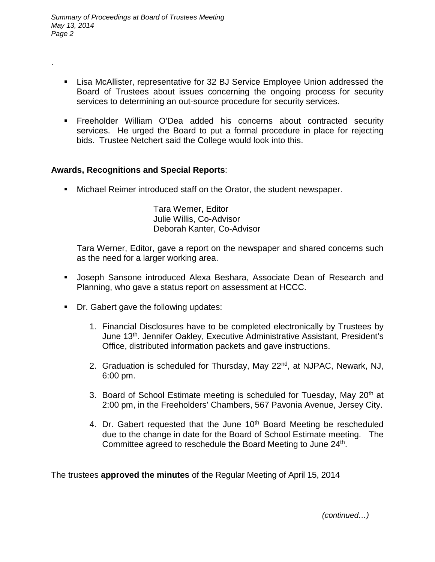.

- Lisa McAllister, representative for 32 BJ Service Employee Union addressed the Board of Trustees about issues concerning the ongoing process for security services to determining an out-source procedure for security services.
- Freeholder William O'Dea added his concerns about contracted security services. He urged the Board to put a formal procedure in place for rejecting bids. Trustee Netchert said the College would look into this.

## **Awards, Recognitions and Special Reports**:

Michael Reimer introduced staff on the Orator, the student newspaper.

Tara Werner, Editor Julie Willis, Co-Advisor Deborah Kanter, Co-Advisor

Tara Werner, Editor, gave a report on the newspaper and shared concerns such as the need for a larger working area.

- Joseph Sansone introduced Alexa Beshara, Associate Dean of Research and Planning, who gave a status report on assessment at HCCC.
- Dr. Gabert gave the following updates:
	- 1. Financial Disclosures have to be completed electronically by Trustees by June 13<sup>th</sup>. Jennifer Oakley, Executive Administrative Assistant, President's Office, distributed information packets and gave instructions.
	- 2. Graduation is scheduled for Thursday, May 22nd, at NJPAC, Newark, NJ, 6:00 pm.
	- 3. Board of School Estimate meeting is scheduled for Tuesday, May 20<sup>th</sup> at 2:00 pm, in the Freeholders' Chambers, 567 Pavonia Avenue, Jersey City.
	- 4. Dr. Gabert requested that the June 10<sup>th</sup> Board Meeting be rescheduled due to the change in date for the Board of School Estimate meeting. The Committee agreed to reschedule the Board Meeting to June 24<sup>th</sup>.

The trustees **approved the minutes** of the Regular Meeting of April 15, 2014

 *(continued…)*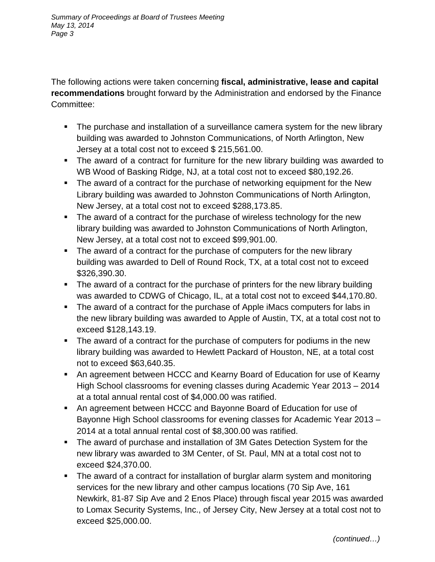The following actions were taken concerning **fiscal, administrative, lease and capital recommendations** brought forward by the Administration and endorsed by the Finance Committee:

- The purchase and installation of a surveillance camera system for the new library building was awarded to Johnston Communications, of North Arlington, New Jersey at a total cost not to exceed \$ 215,561.00.
- The award of a contract for furniture for the new library building was awarded to WB Wood of Basking Ridge, NJ, at a total cost not to exceed \$80,192.26.
- The award of a contract for the purchase of networking equipment for the New Library building was awarded to Johnston Communications of North Arlington, New Jersey, at a total cost not to exceed \$288,173.85.
- The award of a contract for the purchase of wireless technology for the new library building was awarded to Johnston Communications of North Arlington, New Jersey, at a total cost not to exceed \$99,901.00.
- The award of a contract for the purchase of computers for the new library building was awarded to Dell of Round Rock, TX, at a total cost not to exceed \$326,390.30.
- The award of a contract for the purchase of printers for the new library building was awarded to CDWG of Chicago, IL, at a total cost not to exceed \$44,170.80.
- The award of a contract for the purchase of Apple iMacs computers for labs in the new library building was awarded to Apple of Austin, TX, at a total cost not to exceed \$128,143.19.
- The award of a contract for the purchase of computers for podiums in the new library building was awarded to Hewlett Packard of Houston, NE, at a total cost not to exceed \$63,640.35.
- An agreement between HCCC and Kearny Board of Education for use of Kearny High School classrooms for evening classes during Academic Year 2013 – 2014 at a total annual rental cost of \$4,000.00 was ratified.
- An agreement between HCCC and Bayonne Board of Education for use of Bayonne High School classrooms for evening classes for Academic Year 2013 – 2014 at a total annual rental cost of \$8,300.00 was ratified.
- The award of purchase and installation of 3M Gates Detection System for the new library was awarded to 3M Center, of St. Paul, MN at a total cost not to exceed \$24,370.00.
- The award of a contract for installation of burglar alarm system and monitoring services for the new library and other campus locations (70 Sip Ave, 161 Newkirk, 81-87 Sip Ave and 2 Enos Place) through fiscal year 2015 was awarded to Lomax Security Systems, Inc., of Jersey City, New Jersey at a total cost not to exceed \$25,000.00.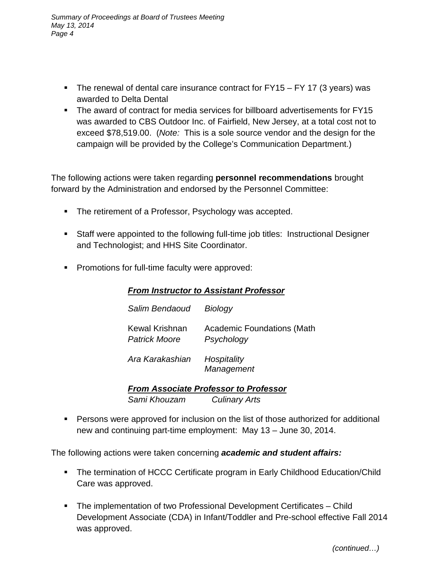- The renewal of dental care insurance contract for  $FY15 FY17$  (3 years) was awarded to Delta Dental
- The award of contract for media services for billboard advertisements for FY15 was awarded to CBS Outdoor Inc. of Fairfield, New Jersey, at a total cost not to exceed \$78,519.00. (*Note:* This is a sole source vendor and the design for the campaign will be provided by the College's Communication Department.)

The following actions were taken regarding **personnel recommendations** brought forward by the Administration and endorsed by the Personnel Committee:

- The retirement of a Professor, Psychology was accepted.
- Staff were appointed to the following full-time job titles: Instructional Designer and Technologist; and HHS Site Coordinator.
- **Promotions for full-time faculty were approved:**

## *From Instructor to Assistant Professor*

| Salim Bendaoud                  | Biology                                         |
|---------------------------------|-------------------------------------------------|
| Kewal Krishnan<br>Patrick Moore | <b>Academic Foundations (Math</b><br>Psychology |
| Ara Karakashian                 | Hospitality                                     |

 *Management*

*From Associate Professor to Professor Sami Khouzam Culinary Arts*

 Persons were approved for inclusion on the list of those authorized for additional new and continuing part-time employment: May 13 – June 30, 2014.

The following actions were taken concerning *academic and student affairs:*

- The termination of HCCC Certificate program in Early Childhood Education/Child Care was approved.
- The implementation of two Professional Development Certificates Child Development Associate (CDA) in Infant/Toddler and Pre-school effective Fall 2014 was approved.

*(continued…)*